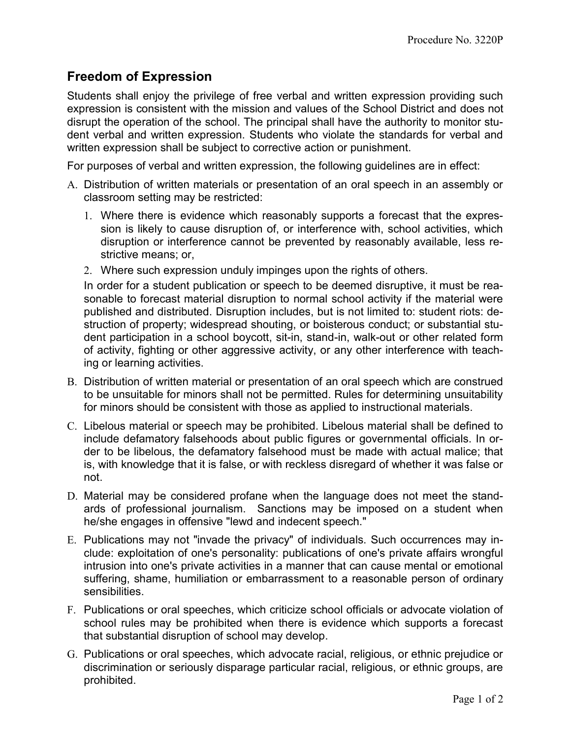## Freedom of Expression

Students shall enjoy the privilege of free verbal and written expression providing such expression is consistent with the mission and values of the School District and does not disrupt the operation of the school. The principal shall have the authority to monitor student verbal and written expression. Students who violate the standards for verbal and written expression shall be subject to corrective action or punishment.

For purposes of verbal and written expression, the following guidelines are in effect:

- A. Distribution of written materials or presentation of an oral speech in an assembly or classroom setting may be restricted:
	- 1. Where there is evidence which reasonably supports a forecast that the expression is likely to cause disruption of, or interference with, school activities, which disruption or interference cannot be prevented by reasonably available, less restrictive means; or,
	- 2. Where such expression unduly impinges upon the rights of others.

In order for a student publication or speech to be deemed disruptive, it must be reasonable to forecast material disruption to normal school activity if the material were published and distributed. Disruption includes, but is not limited to: student riots: destruction of property; widespread shouting, or boisterous conduct; or substantial student participation in a school boycott, sit-in, stand-in, walk-out or other related form of activity, fighting or other aggressive activity, or any other interference with teaching or learning activities.

- B. Distribution of written material or presentation of an oral speech which are construed to be unsuitable for minors shall not be permitted. Rules for determining unsuitability for minors should be consistent with those as applied to instructional materials.
- C. Libelous material or speech may be prohibited. Libelous material shall be defined to include defamatory falsehoods about public figures or governmental officials. In order to be libelous, the defamatory falsehood must be made with actual malice; that is, with knowledge that it is false, or with reckless disregard of whether it was false or not.
- D. Material may be considered profane when the language does not meet the standards of professional journalism. Sanctions may be imposed on a student when he/she engages in offensive "lewd and indecent speech."
- E. Publications may not "invade the privacy" of individuals. Such occurrences may include: exploitation of one's personality: publications of one's private affairs wrongful intrusion into one's private activities in a manner that can cause mental or emotional suffering, shame, humiliation or embarrassment to a reasonable person of ordinary sensibilities.
- F. Publications or oral speeches, which criticize school officials or advocate violation of school rules may be prohibited when there is evidence which supports a forecast that substantial disruption of school may develop.
- G. Publications or oral speeches, which advocate racial, religious, or ethnic prejudice or discrimination or seriously disparage particular racial, religious, or ethnic groups, are prohibited.